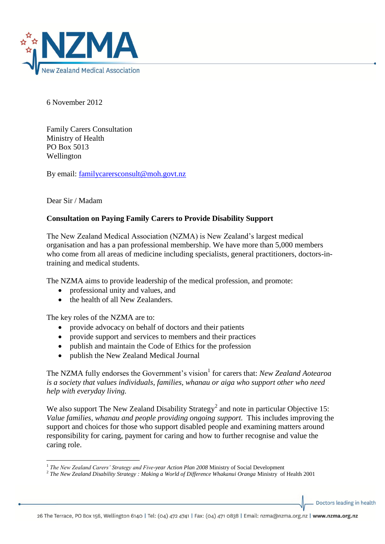

6 November 2012

Family Carers Consultation Ministry of Health PO Box 5013 Wellington

By email: [familycarersconsult@moh.govt.nz](mailto:familycarersconsult@moh.govt.nz)

Dear Sir / Madam

# **Consultation on Paying Family Carers to Provide Disability Support**

The New Zealand Medical Association (NZMA) is New Zealand's largest medical organisation and has a pan professional membership. We have more than 5,000 members who come from all areas of medicine including specialists, general practitioners, doctors-intraining and medical students.

The NZMA aims to provide leadership of the medical profession, and promote:

- professional unity and values, and
- the health of all New Zealanders.

The key roles of the NZMA are to:

- provide advocacy on behalf of doctors and their patients
- provide support and services to members and their practices
- publish and maintain the Code of Ethics for the profession
- publish the New Zealand Medical Journal

The NZMA fully endorses the Government's vision<sup>1</sup> for carers that: *New Zealand Aotearoa is a society that values individuals, families, whanau or aiga who support other who need help with everyday living.* 

We also support The New Zealand Disability Strategy<sup>2</sup> and note in particular Objective 15: *Value families, whanau and people providing ongoing support.* This includes improving the support and choices for those who support disabled people and examining matters around responsibility for caring, payment for caring and how to further recognise and value the caring role.

Doctors leading in health

<sup>1</sup> <sup>1</sup> The New Zealand Carers' Strategy and Five-year Action Plan 2008 Ministry of Social Development

<sup>&</sup>lt;sup>2</sup> The New Zealand Disability Strategy : Making a World of Difference Whakanui Oranga Ministry of Health 2001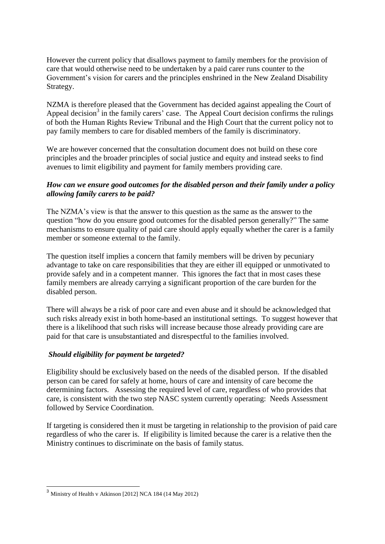However the current policy that disallows payment to family members for the provision of care that would otherwise need to be undertaken by a paid carer runs counter to the Government's vision for carers and the principles enshrined in the New Zealand Disability Strategy.

NZMA is therefore pleased that the Government has decided against appealing the Court of Appeal decision<sup>3</sup> in the family carers' case. The Appeal Court decision confirms the rulings of both the Human Rights Review Tribunal and the High Court that the current policy not to pay family members to care for disabled members of the family is discriminatory.

We are however concerned that the consultation document does not build on these core principles and the broader principles of social justice and equity and instead seeks to find avenues to limit eligibility and payment for family members providing care.

# *How can we ensure good outcomes for the disabled person and their family under a policy allowing family carers to be paid?*

The NZMA's view is that the answer to this question as the same as the answer to the question "how do you ensure good outcomes for the disabled person generally?" The same mechanisms to ensure quality of paid care should apply equally whether the carer is a family member or someone external to the family.

The question itself implies a concern that family members will be driven by pecuniary advantage to take on care responsibilities that they are either ill equipped or unmotivated to provide safely and in a competent manner. This ignores the fact that in most cases these family members are already carrying a significant proportion of the care burden for the disabled person.

There will always be a risk of poor care and even abuse and it should be acknowledged that such risks already exist in both home-based an institutional settings. To suggest however that there is a likelihood that such risks will increase because those already providing care are paid for that care is unsubstantiated and disrespectful to the families involved.

# *Should eligibility for payment be targeted?*

Eligibility should be exclusively based on the needs of the disabled person. If the disabled person can be cared for safely at home, hours of care and intensity of care become the determining factors. Assessing the required level of care, regardless of who provides that care, is consistent with the two step NASC system currently operating: Needs Assessment followed by Service Coordination.

If targeting is considered then it must be targeting in relationship to the provision of paid care regardless of who the carer is. If eligibility is limited because the carer is a relative then the Ministry continues to discriminate on the basis of family status.

1

<sup>&</sup>lt;sup>3</sup> Ministry of Health v Atkinson [2012] NCA 184 (14 May 2012)